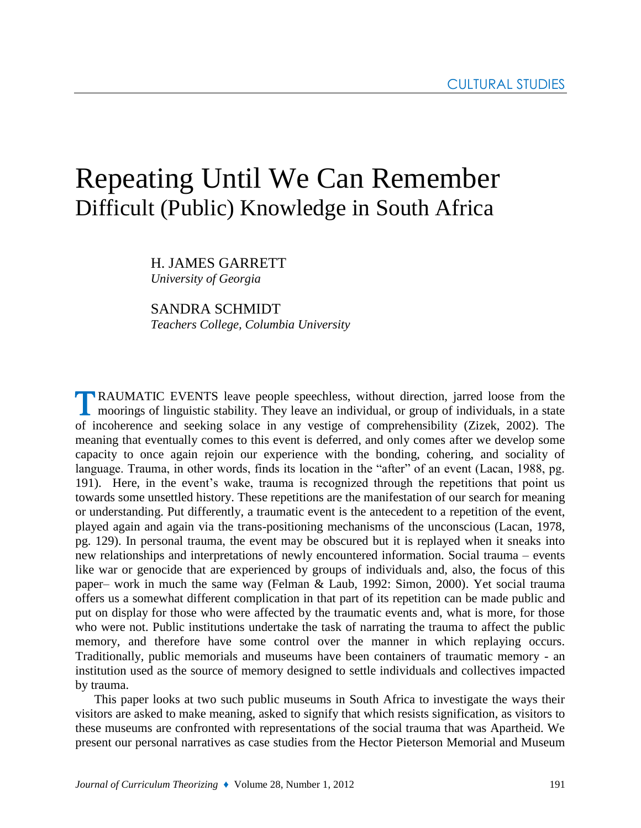# Repeating Until We Can Remember Difficult (Public) Knowledge in South Africa

H. JAMES GARRETT *University of Georgia* 

# SANDRA SCHMIDT

*Teachers College, Columbia University*

RAUMATIC EVENTS leave people speechless, without direction, jarred loose from the **L** moorings of linguistic stability. They leave an individual, or group of individuals, in a state of incoherence and seeking solace in any vestige of comprehensibility (Zizek, 2002). The meaning that eventually comes to this event is deferred, and only comes after we develop some capacity to once again rejoin our experience with the bonding, cohering, and sociality of language. Trauma, in other words, finds its location in the "after" of an event (Lacan, 1988, pg. 191). Here, in the event's wake, trauma is recognized through the repetitions that point us towards some unsettled history. These repetitions are the manifestation of our search for meaning or understanding. Put differently, a traumatic event is the antecedent to a repetition of the event, played again and again via the trans-positioning mechanisms of the unconscious (Lacan, 1978, pg. 129). In personal trauma, the event may be obscured but it is replayed when it sneaks into new relationships and interpretations of newly encountered information. Social trauma – events like war or genocide that are experienced by groups of individuals and, also, the focus of this paper– work in much the same way (Felman & Laub, 1992: Simon, 2000). Yet social trauma offers us a somewhat different complication in that part of its repetition can be made public and put on display for those who were affected by the traumatic events and, what is more, for those who were not. Public institutions undertake the task of narrating the trauma to affect the public memory, and therefore have some control over the manner in which replaying occurs. Traditionally, public memorials and museums have been containers of traumatic memory - an institution used as the source of memory designed to settle individuals and collectives impacted by trauma.

This paper looks at two such public museums in South Africa to investigate the ways their visitors are asked to make meaning, asked to signify that which resists signification, as visitors to these museums are confronted with representations of the social trauma that was Apartheid. We present our personal narratives as case studies from the Hector Pieterson Memorial and Museum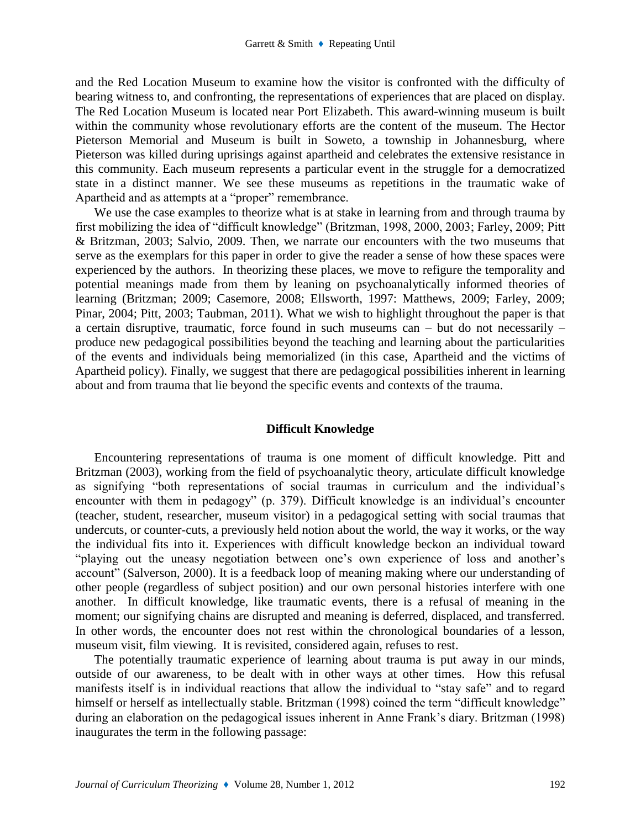and the Red Location Museum to examine how the visitor is confronted with the difficulty of bearing witness to, and confronting, the representations of experiences that are placed on display. The Red Location Museum is located near Port Elizabeth. This award-winning museum is built within the community whose revolutionary efforts are the content of the museum. The Hector Pieterson Memorial and Museum is built in Soweto, a township in Johannesburg, where Pieterson was killed during uprisings against apartheid and celebrates the extensive resistance in this community. Each museum represents a particular event in the struggle for a democratized state in a distinct manner. We see these museums as repetitions in the traumatic wake of Apartheid and as attempts at a "proper" remembrance.

We use the case examples to theorize what is at stake in learning from and through trauma by first mobilizing the idea of "difficult knowledge" (Britzman, 1998, 2000, 2003; Farley, 2009; Pitt & Britzman, 2003; Salvio, 2009. Then, we narrate our encounters with the two museums that serve as the exemplars for this paper in order to give the reader a sense of how these spaces were experienced by the authors. In theorizing these places, we move to refigure the temporality and potential meanings made from them by leaning on psychoanalytically informed theories of learning (Britzman; 2009; Casemore, 2008; Ellsworth, 1997: Matthews, 2009; Farley, 2009; Pinar, 2004; Pitt, 2003; Taubman, 2011). What we wish to highlight throughout the paper is that a certain disruptive, traumatic, force found in such museums can – but do not necessarily – produce new pedagogical possibilities beyond the teaching and learning about the particularities of the events and individuals being memorialized (in this case, Apartheid and the victims of Apartheid policy). Finally, we suggest that there are pedagogical possibilities inherent in learning about and from trauma that lie beyond the specific events and contexts of the trauma.

### **Difficult Knowledge**

Encountering representations of trauma is one moment of difficult knowledge. Pitt and Britzman (2003), working from the field of psychoanalytic theory, articulate difficult knowledge as signifying "both representations of social traumas in curriculum and the individual's encounter with them in pedagogy" (p. 379). Difficult knowledge is an individual's encounter (teacher, student, researcher, museum visitor) in a pedagogical setting with social traumas that undercuts, or counter-cuts, a previously held notion about the world, the way it works, or the way the individual fits into it. Experiences with difficult knowledge beckon an individual toward "playing out the uneasy negotiation between one's own experience of loss and another's account" (Salverson, 2000). It is a feedback loop of meaning making where our understanding of other people (regardless of subject position) and our own personal histories interfere with one another. In difficult knowledge, like traumatic events, there is a refusal of meaning in the moment; our signifying chains are disrupted and meaning is deferred, displaced, and transferred. In other words, the encounter does not rest within the chronological boundaries of a lesson, museum visit, film viewing. It is revisited, considered again, refuses to rest.

The potentially traumatic experience of learning about trauma is put away in our minds, outside of our awareness, to be dealt with in other ways at other times. How this refusal manifests itself is in individual reactions that allow the individual to "stay safe" and to regard himself or herself as intellectually stable. Britzman (1998) coined the term "difficult knowledge" during an elaboration on the pedagogical issues inherent in Anne Frank's diary. Britzman (1998) inaugurates the term in the following passage: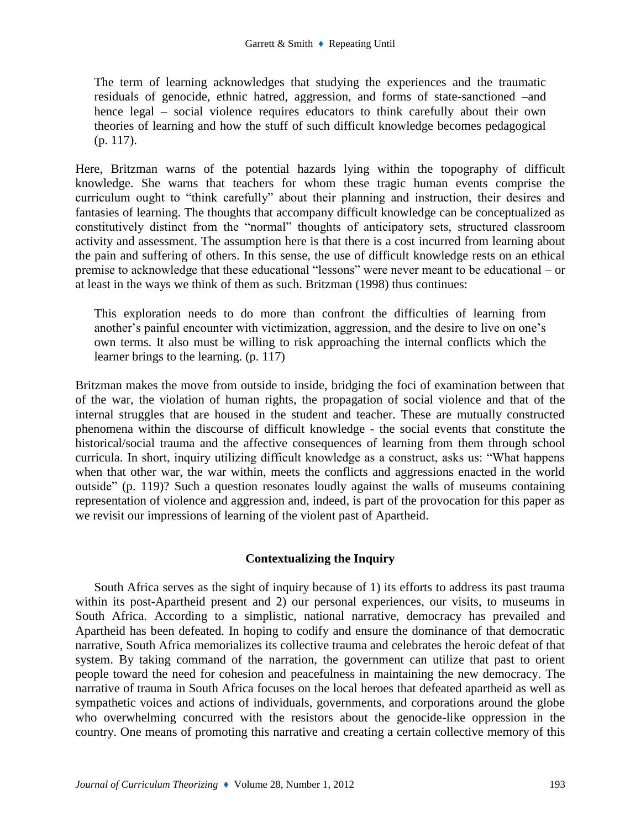The term of learning acknowledges that studying the experiences and the traumatic residuals of genocide, ethnic hatred, aggression, and forms of state-sanctioned –and hence legal – social violence requires educators to think carefully about their own theories of learning and how the stuff of such difficult knowledge becomes pedagogical (p. 117).

Here, Britzman warns of the potential hazards lying within the topography of difficult knowledge. She warns that teachers for whom these tragic human events comprise the curriculum ought to "think carefully" about their planning and instruction, their desires and fantasies of learning. The thoughts that accompany difficult knowledge can be conceptualized as constitutively distinct from the "normal" thoughts of anticipatory sets, structured classroom activity and assessment. The assumption here is that there is a cost incurred from learning about the pain and suffering of others. In this sense, the use of difficult knowledge rests on an ethical premise to acknowledge that these educational "lessons" were never meant to be educational – or at least in the ways we think of them as such. Britzman (1998) thus continues:

This exploration needs to do more than confront the difficulties of learning from another's painful encounter with victimization, aggression, and the desire to live on one's own terms. It also must be willing to risk approaching the internal conflicts which the learner brings to the learning. (p. 117)

Britzman makes the move from outside to inside, bridging the foci of examination between that of the war, the violation of human rights, the propagation of social violence and that of the internal struggles that are housed in the student and teacher. These are mutually constructed phenomena within the discourse of difficult knowledge - the social events that constitute the historical/social trauma and the affective consequences of learning from them through school curricula. In short, inquiry utilizing difficult knowledge as a construct, asks us: "What happens when that other war, the war within, meets the conflicts and aggressions enacted in the world outside" (p. 119)? Such a question resonates loudly against the walls of museums containing representation of violence and aggression and, indeed, is part of the provocation for this paper as we revisit our impressions of learning of the violent past of Apartheid.

# **Contextualizing the Inquiry**

South Africa serves as the sight of inquiry because of 1) its efforts to address its past trauma within its post-Apartheid present and 2) our personal experiences, our visits, to museums in South Africa. According to a simplistic, national narrative, democracy has prevailed and Apartheid has been defeated. In hoping to codify and ensure the dominance of that democratic narrative, South Africa memorializes its collective trauma and celebrates the heroic defeat of that system. By taking command of the narration, the government can utilize that past to orient people toward the need for cohesion and peacefulness in maintaining the new democracy. The narrative of trauma in South Africa focuses on the local heroes that defeated apartheid as well as sympathetic voices and actions of individuals, governments, and corporations around the globe who overwhelming concurred with the resistors about the genocide-like oppression in the country. One means of promoting this narrative and creating a certain collective memory of this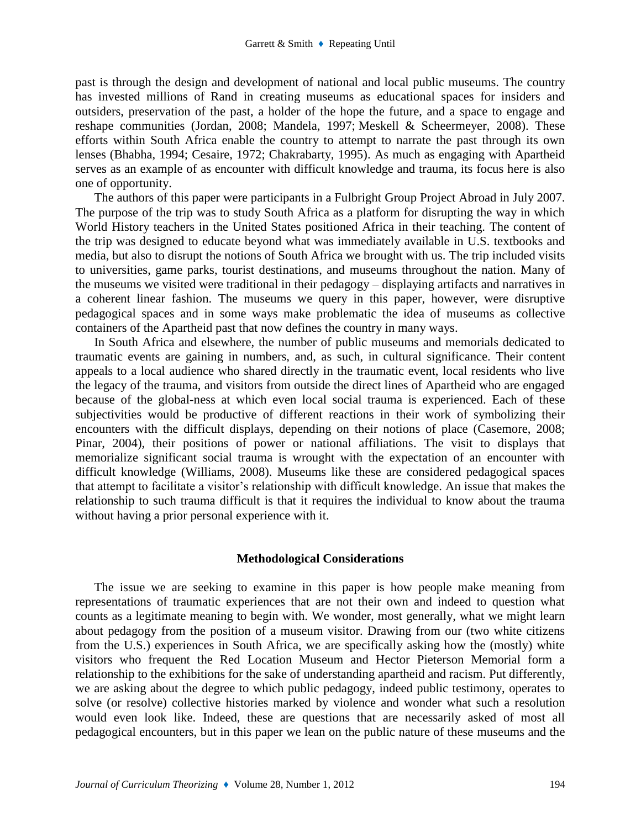past is through the design and development of national and local public museums. The country has invested millions of Rand in creating museums as educational spaces for insiders and outsiders, preservation of the past, a holder of the hope the future, and a space to engage and reshape communities (Jordan, 2008; Mandela, 1997; Meskell & Scheermeyer, 2008). These efforts within South Africa enable the country to attempt to narrate the past through its own lenses (Bhabha, 1994; Cesaire, 1972; Chakrabarty, 1995). As much as engaging with Apartheid serves as an example of as encounter with difficult knowledge and trauma, its focus here is also one of opportunity.

The authors of this paper were participants in a Fulbright Group Project Abroad in July 2007. The purpose of the trip was to study South Africa as a platform for disrupting the way in which World History teachers in the United States positioned Africa in their teaching. The content of the trip was designed to educate beyond what was immediately available in U.S. textbooks and media, but also to disrupt the notions of South Africa we brought with us. The trip included visits to universities, game parks, tourist destinations, and museums throughout the nation. Many of the museums we visited were traditional in their pedagogy – displaying artifacts and narratives in a coherent linear fashion. The museums we query in this paper, however, were disruptive pedagogical spaces and in some ways make problematic the idea of museums as collective containers of the Apartheid past that now defines the country in many ways.

In South Africa and elsewhere, the number of public museums and memorials dedicated to traumatic events are gaining in numbers, and, as such, in cultural significance. Their content appeals to a local audience who shared directly in the traumatic event, local residents who live the legacy of the trauma, and visitors from outside the direct lines of Apartheid who are engaged because of the global-ness at which even local social trauma is experienced. Each of these subjectivities would be productive of different reactions in their work of symbolizing their encounters with the difficult displays, depending on their notions of place (Casemore, 2008; Pinar, 2004), their positions of power or national affiliations. The visit to displays that memorialize significant social trauma is wrought with the expectation of an encounter with difficult knowledge (Williams, 2008). Museums like these are considered pedagogical spaces that attempt to facilitate a visitor's relationship with difficult knowledge. An issue that makes the relationship to such trauma difficult is that it requires the individual to know about the trauma without having a prior personal experience with it.

#### **Methodological Considerations**

The issue we are seeking to examine in this paper is how people make meaning from representations of traumatic experiences that are not their own and indeed to question what counts as a legitimate meaning to begin with. We wonder, most generally, what we might learn about pedagogy from the position of a museum visitor. Drawing from our (two white citizens from the U.S.) experiences in South Africa, we are specifically asking how the (mostly) white visitors who frequent the Red Location Museum and Hector Pieterson Memorial form a relationship to the exhibitions for the sake of understanding apartheid and racism. Put differently, we are asking about the degree to which public pedagogy, indeed public testimony, operates to solve (or resolve) collective histories marked by violence and wonder what such a resolution would even look like. Indeed, these are questions that are necessarily asked of most all pedagogical encounters, but in this paper we lean on the public nature of these museums and the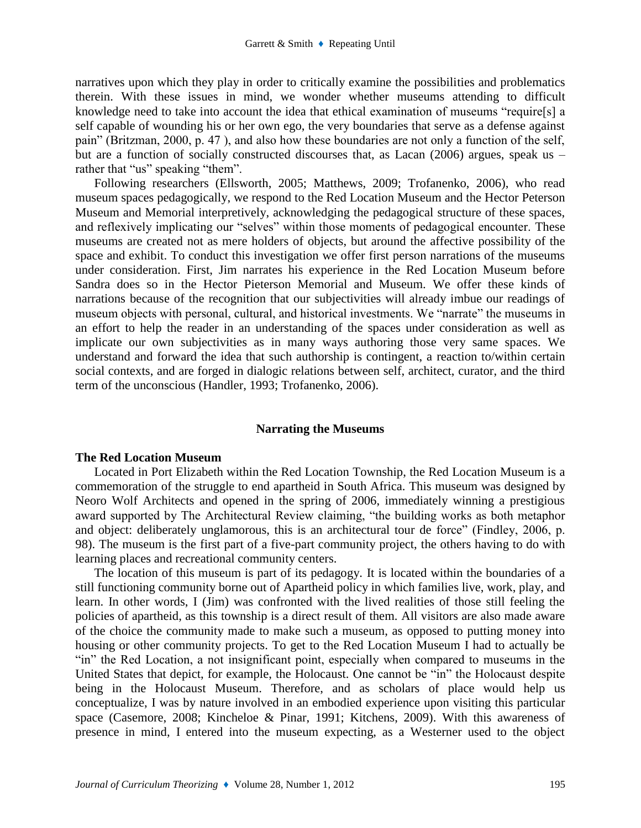narratives upon which they play in order to critically examine the possibilities and problematics therein. With these issues in mind, we wonder whether museums attending to difficult knowledge need to take into account the idea that ethical examination of museums "require[s] a self capable of wounding his or her own ego, the very boundaries that serve as a defense against pain" (Britzman, 2000, p. 47 ), and also how these boundaries are not only a function of the self, but are a function of socially constructed discourses that, as Lacan (2006) argues, speak us – rather that "us" speaking "them".

Following researchers (Ellsworth, 2005; Matthews, 2009; Trofanenko, 2006), who read museum spaces pedagogically, we respond to the Red Location Museum and the Hector Peterson Museum and Memorial interpretively, acknowledging the pedagogical structure of these spaces, and reflexively implicating our "selves" within those moments of pedagogical encounter. These museums are created not as mere holders of objects, but around the affective possibility of the space and exhibit. To conduct this investigation we offer first person narrations of the museums under consideration. First, Jim narrates his experience in the Red Location Museum before Sandra does so in the Hector Pieterson Memorial and Museum. We offer these kinds of narrations because of the recognition that our subjectivities will already imbue our readings of museum objects with personal, cultural, and historical investments. We "narrate" the museums in an effort to help the reader in an understanding of the spaces under consideration as well as implicate our own subjectivities as in many ways authoring those very same spaces. We understand and forward the idea that such authorship is contingent, a reaction to/within certain social contexts, and are forged in dialogic relations between self, architect, curator, and the third term of the unconscious (Handler, 1993; Trofanenko, 2006).

#### **Narrating the Museums**

#### **The Red Location Museum**

Located in Port Elizabeth within the Red Location Township, the Red Location Museum is a commemoration of the struggle to end apartheid in South Africa. This museum was designed by Neoro Wolf Architects and opened in the spring of 2006, immediately winning a prestigious award supported by The Architectural Review claiming, "the building works as both metaphor and object: deliberately unglamorous, this is an architectural tour de force" (Findley, 2006, p. 98). The museum is the first part of a five-part community project, the others having to do with learning places and recreational community centers.

The location of this museum is part of its pedagogy. It is located within the boundaries of a still functioning community borne out of Apartheid policy in which families live, work, play, and learn. In other words, I (Jim) was confronted with the lived realities of those still feeling the policies of apartheid, as this township is a direct result of them. All visitors are also made aware of the choice the community made to make such a museum, as opposed to putting money into housing or other community projects. To get to the Red Location Museum I had to actually be "in" the Red Location, a not insignificant point, especially when compared to museums in the United States that depict, for example, the Holocaust. One cannot be "in" the Holocaust despite being in the Holocaust Museum. Therefore, and as scholars of place would help us conceptualize, I was by nature involved in an embodied experience upon visiting this particular space (Casemore, 2008; Kincheloe & Pinar, 1991; Kitchens, 2009). With this awareness of presence in mind, I entered into the museum expecting, as a Westerner used to the object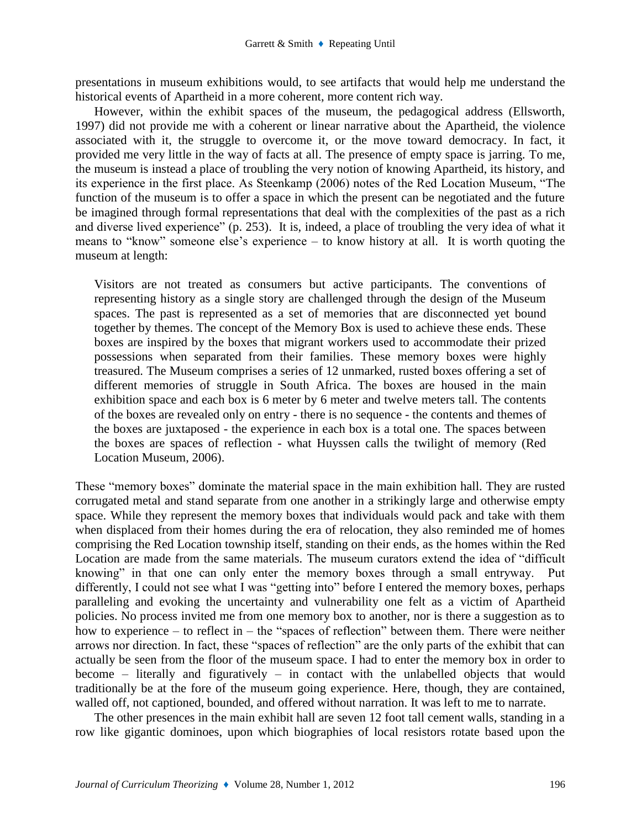presentations in museum exhibitions would, to see artifacts that would help me understand the historical events of Apartheid in a more coherent, more content rich way.

However, within the exhibit spaces of the museum, the pedagogical address (Ellsworth, 1997) did not provide me with a coherent or linear narrative about the Apartheid, the violence associated with it, the struggle to overcome it, or the move toward democracy. In fact, it provided me very little in the way of facts at all. The presence of empty space is jarring. To me, the museum is instead a place of troubling the very notion of knowing Apartheid, its history, and its experience in the first place. As Steenkamp (2006) notes of the Red Location Museum, "The function of the museum is to offer a space in which the present can be negotiated and the future be imagined through formal representations that deal with the complexities of the past as a rich and diverse lived experience" (p. 253). It is, indeed, a place of troubling the very idea of what it means to "know" someone else's experience – to know history at all. It is worth quoting the museum at length:

Visitors are not treated as consumers but active participants. The conventions of representing history as a single story are challenged through the design of the Museum spaces. The past is represented as a set of memories that are disconnected yet bound together by themes. The concept of the Memory Box is used to achieve these ends. These boxes are inspired by the boxes that migrant workers used to accommodate their prized possessions when separated from their families. These memory boxes were highly treasured. The Museum comprises a series of 12 unmarked, rusted boxes offering a set of different memories of struggle in South Africa. The boxes are housed in the main exhibition space and each box is 6 meter by 6 meter and twelve meters tall. The contents of the boxes are revealed only on entry - there is no sequence - the contents and themes of the boxes are juxtaposed - the experience in each box is a total one. The spaces between the boxes are spaces of reflection - what Huyssen calls the twilight of memory (Red Location Museum, 2006).

These "memory boxes" dominate the material space in the main exhibition hall. They are rusted corrugated metal and stand separate from one another in a strikingly large and otherwise empty space. While they represent the memory boxes that individuals would pack and take with them when displaced from their homes during the era of relocation, they also reminded me of homes comprising the Red Location township itself, standing on their ends, as the homes within the Red Location are made from the same materials. The museum curators extend the idea of "difficult knowing" in that one can only enter the memory boxes through a small entryway. Put differently, I could not see what I was "getting into" before I entered the memory boxes, perhaps paralleling and evoking the uncertainty and vulnerability one felt as a victim of Apartheid policies. No process invited me from one memory box to another, nor is there a suggestion as to how to experience – to reflect in – the "spaces of reflection" between them. There were neither arrows nor direction. In fact, these "spaces of reflection" are the only parts of the exhibit that can actually be seen from the floor of the museum space. I had to enter the memory box in order to become – literally and figuratively – in contact with the unlabelled objects that would traditionally be at the fore of the museum going experience. Here, though, they are contained, walled off, not captioned, bounded, and offered without narration. It was left to me to narrate.

The other presences in the main exhibit hall are seven 12 foot tall cement walls, standing in a row like gigantic dominoes, upon which biographies of local resistors rotate based upon the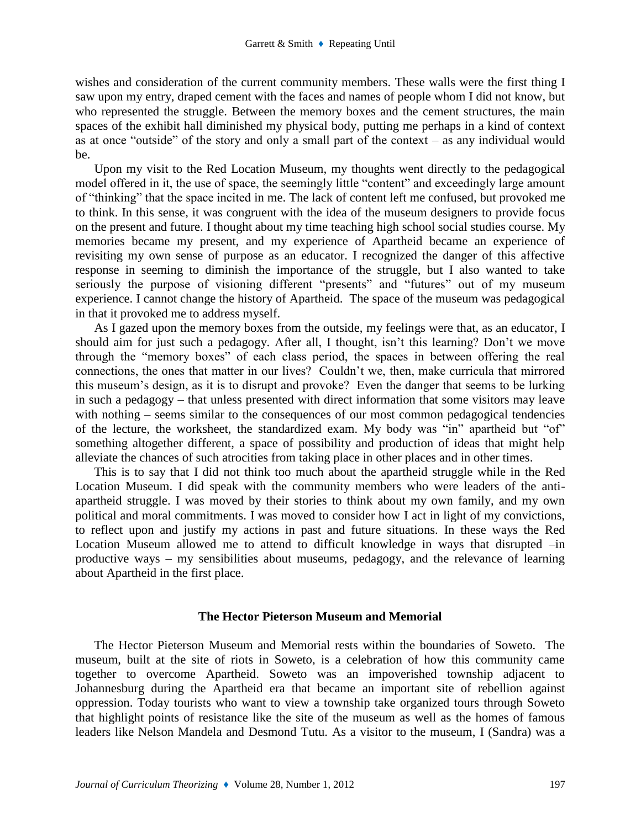wishes and consideration of the current community members. These walls were the first thing I saw upon my entry, draped cement with the faces and names of people whom I did not know, but who represented the struggle. Between the memory boxes and the cement structures, the main spaces of the exhibit hall diminished my physical body, putting me perhaps in a kind of context as at once "outside" of the story and only a small part of the context – as any individual would be.

Upon my visit to the Red Location Museum, my thoughts went directly to the pedagogical model offered in it, the use of space, the seemingly little "content" and exceedingly large amount of "thinking" that the space incited in me. The lack of content left me confused, but provoked me to think. In this sense, it was congruent with the idea of the museum designers to provide focus on the present and future. I thought about my time teaching high school social studies course. My memories became my present, and my experience of Apartheid became an experience of revisiting my own sense of purpose as an educator. I recognized the danger of this affective response in seeming to diminish the importance of the struggle, but I also wanted to take seriously the purpose of visioning different "presents" and "futures" out of my museum experience. I cannot change the history of Apartheid. The space of the museum was pedagogical in that it provoked me to address myself.

As I gazed upon the memory boxes from the outside, my feelings were that, as an educator, I should aim for just such a pedagogy. After all, I thought, isn't this learning? Don't we move through the "memory boxes" of each class period, the spaces in between offering the real connections, the ones that matter in our lives? Couldn't we, then, make curricula that mirrored this museum's design, as it is to disrupt and provoke? Even the danger that seems to be lurking in such a pedagogy – that unless presented with direct information that some visitors may leave with nothing – seems similar to the consequences of our most common pedagogical tendencies of the lecture, the worksheet, the standardized exam. My body was "in" apartheid but "of" something altogether different, a space of possibility and production of ideas that might help alleviate the chances of such atrocities from taking place in other places and in other times.

This is to say that I did not think too much about the apartheid struggle while in the Red Location Museum. I did speak with the community members who were leaders of the antiapartheid struggle. I was moved by their stories to think about my own family, and my own political and moral commitments. I was moved to consider how I act in light of my convictions, to reflect upon and justify my actions in past and future situations. In these ways the Red Location Museum allowed me to attend to difficult knowledge in ways that disrupted –in productive ways – my sensibilities about museums, pedagogy, and the relevance of learning about Apartheid in the first place.

### **The Hector Pieterson Museum and Memorial**

The Hector Pieterson Museum and Memorial rests within the boundaries of Soweto. The museum, built at the site of riots in Soweto, is a celebration of how this community came together to overcome Apartheid. Soweto was an impoverished township adjacent to Johannesburg during the Apartheid era that became an important site of rebellion against oppression. Today tourists who want to view a township take organized tours through Soweto that highlight points of resistance like the site of the museum as well as the homes of famous leaders like Nelson Mandela and Desmond Tutu. As a visitor to the museum, I (Sandra) was a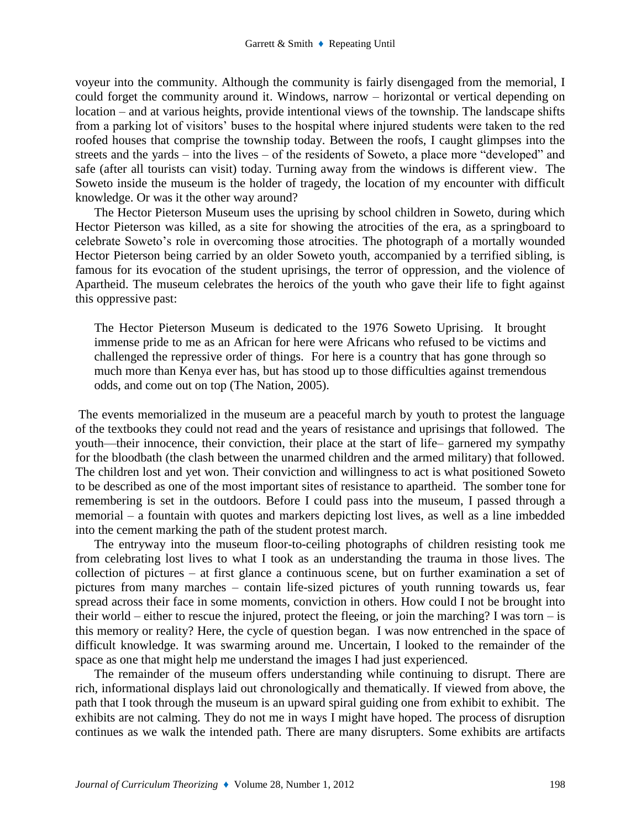voyeur into the community. Although the community is fairly disengaged from the memorial, I could forget the community around it. Windows, narrow – horizontal or vertical depending on location – and at various heights, provide intentional views of the township. The landscape shifts from a parking lot of visitors' buses to the hospital where injured students were taken to the red roofed houses that comprise the township today. Between the roofs, I caught glimpses into the streets and the yards – into the lives – of the residents of Soweto, a place more "developed" and safe (after all tourists can visit) today. Turning away from the windows is different view. The Soweto inside the museum is the holder of tragedy, the location of my encounter with difficult knowledge. Or was it the other way around?

The Hector Pieterson Museum uses the uprising by school children in Soweto, during which Hector Pieterson was killed, as a site for showing the atrocities of the era, as a springboard to celebrate Soweto's role in overcoming those atrocities. The photograph of a mortally wounded Hector Pieterson being carried by an older Soweto youth, accompanied by a terrified sibling, is famous for its evocation of the student uprisings, the terror of oppression, and the violence of Apartheid. The museum celebrates the heroics of the youth who gave their life to fight against this oppressive past:

The Hector Pieterson Museum is dedicated to the 1976 Soweto Uprising. It brought immense pride to me as an African for here were Africans who refused to be victims and challenged the repressive order of things. For here is a country that has gone through so much more than Kenya ever has, but has stood up to those difficulties against tremendous odds, and come out on top (The Nation, 2005).

The events memorialized in the museum are a peaceful march by youth to protest the language of the textbooks they could not read and the years of resistance and uprisings that followed. The youth—their innocence, their conviction, their place at the start of life– garnered my sympathy for the bloodbath (the clash between the unarmed children and the armed military) that followed. The children lost and yet won. Their conviction and willingness to act is what positioned Soweto to be described as one of the most important sites of resistance to apartheid. The somber tone for remembering is set in the outdoors. Before I could pass into the museum, I passed through a memorial – a fountain with quotes and markers depicting lost lives, as well as a line imbedded into the cement marking the path of the student protest march.

The entryway into the museum floor-to-ceiling photographs of children resisting took me from celebrating lost lives to what I took as an understanding the trauma in those lives. The collection of pictures – at first glance a continuous scene, but on further examination a set of pictures from many marches – contain life-sized pictures of youth running towards us, fear spread across their face in some moments, conviction in others. How could I not be brought into their world – either to rescue the injured, protect the fleeing, or join the marching? I was torn – is this memory or reality? Here, the cycle of question began. I was now entrenched in the space of difficult knowledge. It was swarming around me. Uncertain, I looked to the remainder of the space as one that might help me understand the images I had just experienced.

The remainder of the museum offers understanding while continuing to disrupt. There are rich, informational displays laid out chronologically and thematically. If viewed from above, the path that I took through the museum is an upward spiral guiding one from exhibit to exhibit. The exhibits are not calming. They do not me in ways I might have hoped. The process of disruption continues as we walk the intended path. There are many disrupters. Some exhibits are artifacts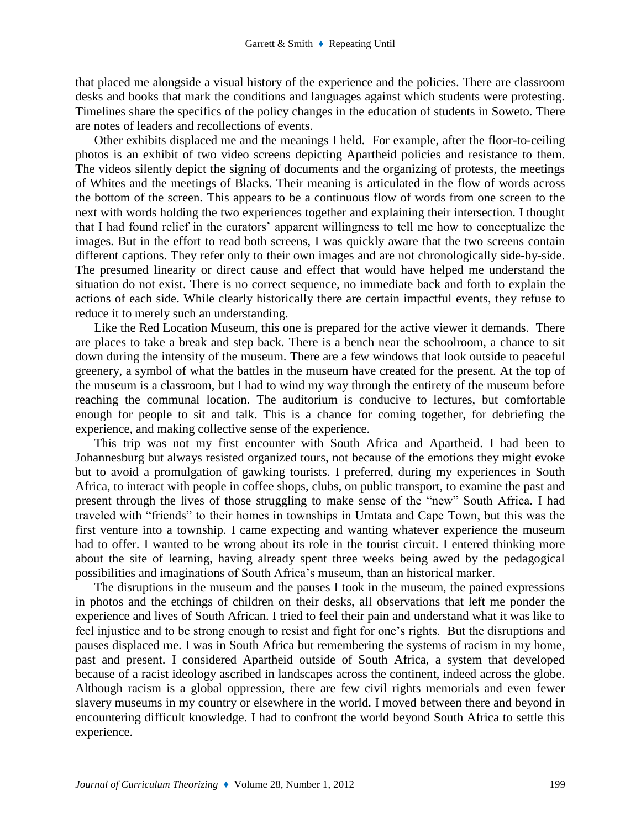that placed me alongside a visual history of the experience and the policies. There are classroom desks and books that mark the conditions and languages against which students were protesting. Timelines share the specifics of the policy changes in the education of students in Soweto. There are notes of leaders and recollections of events.

Other exhibits displaced me and the meanings I held. For example, after the floor-to-ceiling photos is an exhibit of two video screens depicting Apartheid policies and resistance to them. The videos silently depict the signing of documents and the organizing of protests, the meetings of Whites and the meetings of Blacks. Their meaning is articulated in the flow of words across the bottom of the screen. This appears to be a continuous flow of words from one screen to the next with words holding the two experiences together and explaining their intersection. I thought that I had found relief in the curators' apparent willingness to tell me how to conceptualize the images. But in the effort to read both screens, I was quickly aware that the two screens contain different captions. They refer only to their own images and are not chronologically side-by-side. The presumed linearity or direct cause and effect that would have helped me understand the situation do not exist. There is no correct sequence, no immediate back and forth to explain the actions of each side. While clearly historically there are certain impactful events, they refuse to reduce it to merely such an understanding.

Like the Red Location Museum, this one is prepared for the active viewer it demands. There are places to take a break and step back. There is a bench near the schoolroom, a chance to sit down during the intensity of the museum. There are a few windows that look outside to peaceful greenery, a symbol of what the battles in the museum have created for the present. At the top of the museum is a classroom, but I had to wind my way through the entirety of the museum before reaching the communal location. The auditorium is conducive to lectures, but comfortable enough for people to sit and talk. This is a chance for coming together, for debriefing the experience, and making collective sense of the experience.

This trip was not my first encounter with South Africa and Apartheid. I had been to Johannesburg but always resisted organized tours, not because of the emotions they might evoke but to avoid a promulgation of gawking tourists. I preferred, during my experiences in South Africa, to interact with people in coffee shops, clubs, on public transport, to examine the past and present through the lives of those struggling to make sense of the "new" South Africa. I had traveled with "friends" to their homes in townships in Umtata and Cape Town, but this was the first venture into a township. I came expecting and wanting whatever experience the museum had to offer. I wanted to be wrong about its role in the tourist circuit. I entered thinking more about the site of learning, having already spent three weeks being awed by the pedagogical possibilities and imaginations of South Africa's museum, than an historical marker.

The disruptions in the museum and the pauses I took in the museum, the pained expressions in photos and the etchings of children on their desks, all observations that left me ponder the experience and lives of South African. I tried to feel their pain and understand what it was like to feel injustice and to be strong enough to resist and fight for one's rights. But the disruptions and pauses displaced me. I was in South Africa but remembering the systems of racism in my home, past and present. I considered Apartheid outside of South Africa, a system that developed because of a racist ideology ascribed in landscapes across the continent, indeed across the globe. Although racism is a global oppression, there are few civil rights memorials and even fewer slavery museums in my country or elsewhere in the world. I moved between there and beyond in encountering difficult knowledge. I had to confront the world beyond South Africa to settle this experience.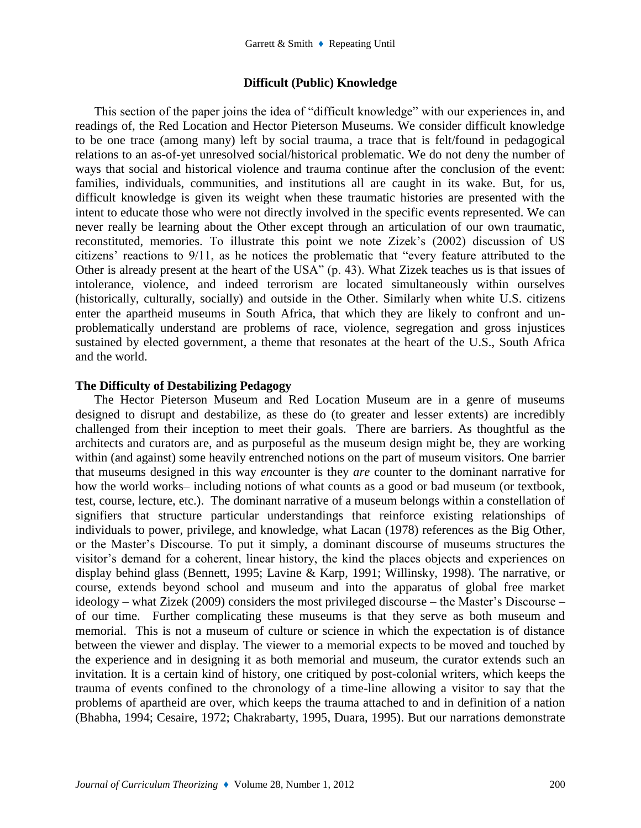# **Difficult (Public) Knowledge**

This section of the paper joins the idea of "difficult knowledge" with our experiences in, and readings of, the Red Location and Hector Pieterson Museums. We consider difficult knowledge to be one trace (among many) left by social trauma, a trace that is felt/found in pedagogical relations to an as-of-yet unresolved social/historical problematic. We do not deny the number of ways that social and historical violence and trauma continue after the conclusion of the event: families, individuals, communities, and institutions all are caught in its wake. But, for us, difficult knowledge is given its weight when these traumatic histories are presented with the intent to educate those who were not directly involved in the specific events represented. We can never really be learning about the Other except through an articulation of our own traumatic, reconstituted, memories. To illustrate this point we note Zizek's (2002) discussion of US citizens' reactions to 9/11, as he notices the problematic that "every feature attributed to the Other is already present at the heart of the USA" (p. 43). What Zizek teaches us is that issues of intolerance, violence, and indeed terrorism are located simultaneously within ourselves (historically, culturally, socially) and outside in the Other. Similarly when white U.S. citizens enter the apartheid museums in South Africa, that which they are likely to confront and unproblematically understand are problems of race, violence, segregation and gross injustices sustained by elected government, a theme that resonates at the heart of the U.S., South Africa and the world.

# **The Difficulty of Destabilizing Pedagogy**

The Hector Pieterson Museum and Red Location Museum are in a genre of museums designed to disrupt and destabilize, as these do (to greater and lesser extents) are incredibly challenged from their inception to meet their goals. There are barriers. As thoughtful as the architects and curators are, and as purposeful as the museum design might be, they are working within (and against) some heavily entrenched notions on the part of museum visitors. One barrier that museums designed in this way *en*counter is they *are* counter to the dominant narrative for how the world works– including notions of what counts as a good or bad museum (or textbook, test, course, lecture, etc.). The dominant narrative of a museum belongs within a constellation of signifiers that structure particular understandings that reinforce existing relationships of individuals to power, privilege, and knowledge, what Lacan (1978) references as the Big Other, or the Master's Discourse. To put it simply, a dominant discourse of museums structures the visitor's demand for a coherent, linear history, the kind the places objects and experiences on display behind glass (Bennett, 1995; Lavine & Karp, 1991; Willinsky, 1998). The narrative, or course, extends beyond school and museum and into the apparatus of global free market ideology – what Zizek (2009) considers the most privileged discourse – the Master's Discourse – of our time. Further complicating these museums is that they serve as both museum and memorial. This is not a museum of culture or science in which the expectation is of distance between the viewer and display. The viewer to a memorial expects to be moved and touched by the experience and in designing it as both memorial and museum, the curator extends such an invitation. It is a certain kind of history, one critiqued by post-colonial writers, which keeps the trauma of events confined to the chronology of a time-line allowing a visitor to say that the problems of apartheid are over, which keeps the trauma attached to and in definition of a nation (Bhabha, 1994; Cesaire, 1972; Chakrabarty, 1995, Duara, 1995). But our narrations demonstrate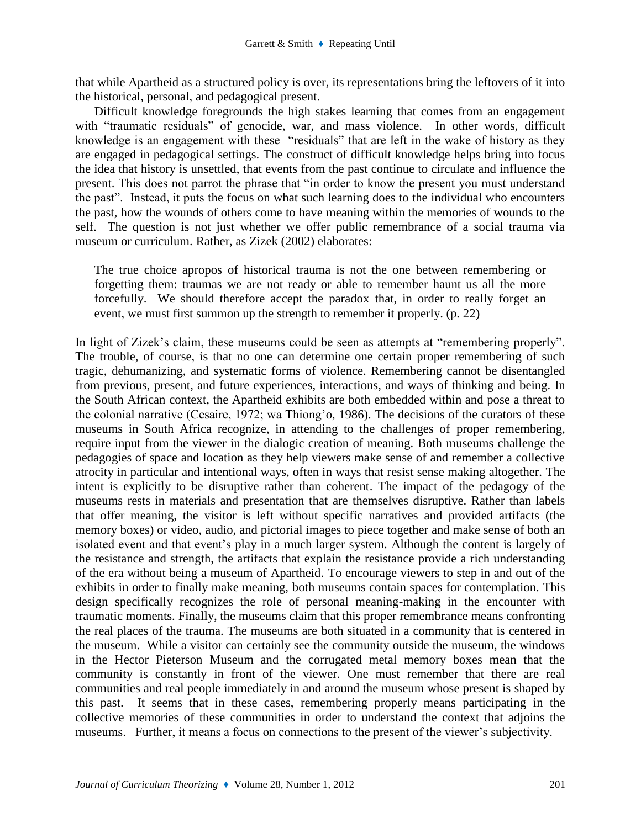that while Apartheid as a structured policy is over, its representations bring the leftovers of it into the historical, personal, and pedagogical present.

Difficult knowledge foregrounds the high stakes learning that comes from an engagement with "traumatic residuals" of genocide, war, and mass violence. In other words, difficult knowledge is an engagement with these "residuals" that are left in the wake of history as they are engaged in pedagogical settings. The construct of difficult knowledge helps bring into focus the idea that history is unsettled, that events from the past continue to circulate and influence the present. This does not parrot the phrase that "in order to know the present you must understand the past". Instead, it puts the focus on what such learning does to the individual who encounters the past, how the wounds of others come to have meaning within the memories of wounds to the self. The question is not just whether we offer public remembrance of a social trauma via museum or curriculum. Rather, as Zizek (2002) elaborates:

The true choice apropos of historical trauma is not the one between remembering or forgetting them: traumas we are not ready or able to remember haunt us all the more forcefully. We should therefore accept the paradox that, in order to really forget an event, we must first summon up the strength to remember it properly. (p. 22)

In light of Zizek's claim, these museums could be seen as attempts at "remembering properly". The trouble, of course, is that no one can determine one certain proper remembering of such tragic, dehumanizing, and systematic forms of violence. Remembering cannot be disentangled from previous, present, and future experiences, interactions, and ways of thinking and being. In the South African context, the Apartheid exhibits are both embedded within and pose a threat to the colonial narrative (Cesaire, 1972; wa Thiong'o, 1986). The decisions of the curators of these museums in South Africa recognize, in attending to the challenges of proper remembering, require input from the viewer in the dialogic creation of meaning. Both museums challenge the pedagogies of space and location as they help viewers make sense of and remember a collective atrocity in particular and intentional ways, often in ways that resist sense making altogether. The intent is explicitly to be disruptive rather than coherent. The impact of the pedagogy of the museums rests in materials and presentation that are themselves disruptive. Rather than labels that offer meaning, the visitor is left without specific narratives and provided artifacts (the memory boxes) or video, audio, and pictorial images to piece together and make sense of both an isolated event and that event's play in a much larger system. Although the content is largely of the resistance and strength, the artifacts that explain the resistance provide a rich understanding of the era without being a museum of Apartheid. To encourage viewers to step in and out of the exhibits in order to finally make meaning, both museums contain spaces for contemplation. This design specifically recognizes the role of personal meaning-making in the encounter with traumatic moments. Finally, the museums claim that this proper remembrance means confronting the real places of the trauma. The museums are both situated in a community that is centered in the museum. While a visitor can certainly see the community outside the museum, the windows in the Hector Pieterson Museum and the corrugated metal memory boxes mean that the community is constantly in front of the viewer. One must remember that there are real communities and real people immediately in and around the museum whose present is shaped by this past. It seems that in these cases, remembering properly means participating in the collective memories of these communities in order to understand the context that adjoins the museums. Further, it means a focus on connections to the present of the viewer's subjectivity.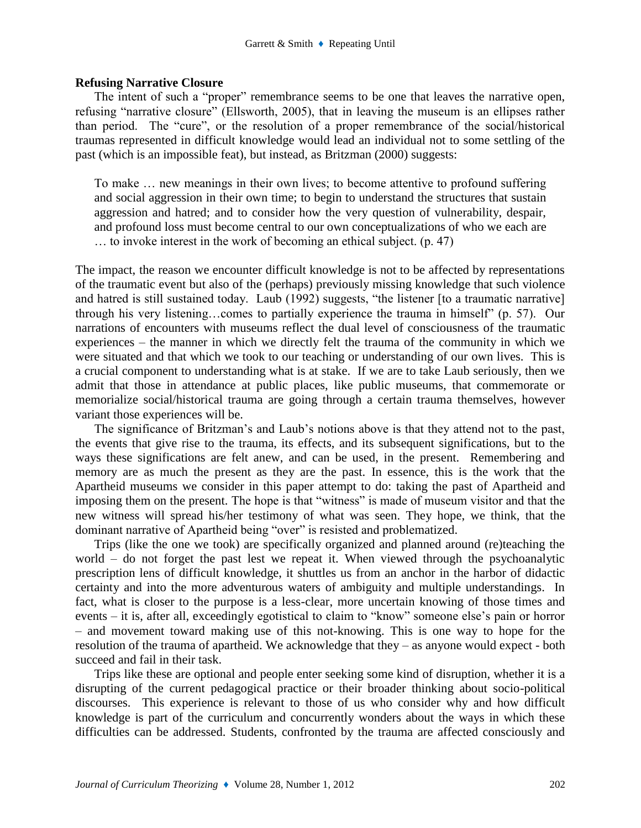#### **Refusing Narrative Closure**

The intent of such a "proper" remembrance seems to be one that leaves the narrative open, refusing "narrative closure" (Ellsworth, 2005), that in leaving the museum is an ellipses rather than period. The "cure", or the resolution of a proper remembrance of the social/historical traumas represented in difficult knowledge would lead an individual not to some settling of the past (which is an impossible feat), but instead, as Britzman (2000) suggests:

To make … new meanings in their own lives; to become attentive to profound suffering and social aggression in their own time; to begin to understand the structures that sustain aggression and hatred; and to consider how the very question of vulnerability, despair, and profound loss must become central to our own conceptualizations of who we each are … to invoke interest in the work of becoming an ethical subject. (p. 47)

The impact, the reason we encounter difficult knowledge is not to be affected by representations of the traumatic event but also of the (perhaps) previously missing knowledge that such violence and hatred is still sustained today. Laub (1992) suggests, "the listener [to a traumatic narrative] through his very listening…comes to partially experience the trauma in himself" (p. 57). Our narrations of encounters with museums reflect the dual level of consciousness of the traumatic experiences – the manner in which we directly felt the trauma of the community in which we were situated and that which we took to our teaching or understanding of our own lives. This is a crucial component to understanding what is at stake. If we are to take Laub seriously, then we admit that those in attendance at public places, like public museums, that commemorate or memorialize social/historical trauma are going through a certain trauma themselves, however variant those experiences will be.

The significance of Britzman's and Laub's notions above is that they attend not to the past, the events that give rise to the trauma, its effects, and its subsequent significations, but to the ways these significations are felt anew, and can be used, in the present. Remembering and memory are as much the present as they are the past. In essence, this is the work that the Apartheid museums we consider in this paper attempt to do: taking the past of Apartheid and imposing them on the present. The hope is that "witness" is made of museum visitor and that the new witness will spread his/her testimony of what was seen. They hope, we think, that the dominant narrative of Apartheid being "over" is resisted and problematized.

Trips (like the one we took) are specifically organized and planned around (re)teaching the world – do not forget the past lest we repeat it. When viewed through the psychoanalytic prescription lens of difficult knowledge, it shuttles us from an anchor in the harbor of didactic certainty and into the more adventurous waters of ambiguity and multiple understandings. In fact, what is closer to the purpose is a less-clear, more uncertain knowing of those times and events – it is, after all, exceedingly egotistical to claim to "know" someone else's pain or horror – and movement toward making use of this not-knowing. This is one way to hope for the resolution of the trauma of apartheid. We acknowledge that they – as anyone would expect - both succeed and fail in their task.

Trips like these are optional and people enter seeking some kind of disruption, whether it is a disrupting of the current pedagogical practice or their broader thinking about socio-political discourses. This experience is relevant to those of us who consider why and how difficult knowledge is part of the curriculum and concurrently wonders about the ways in which these difficulties can be addressed. Students, confronted by the trauma are affected consciously and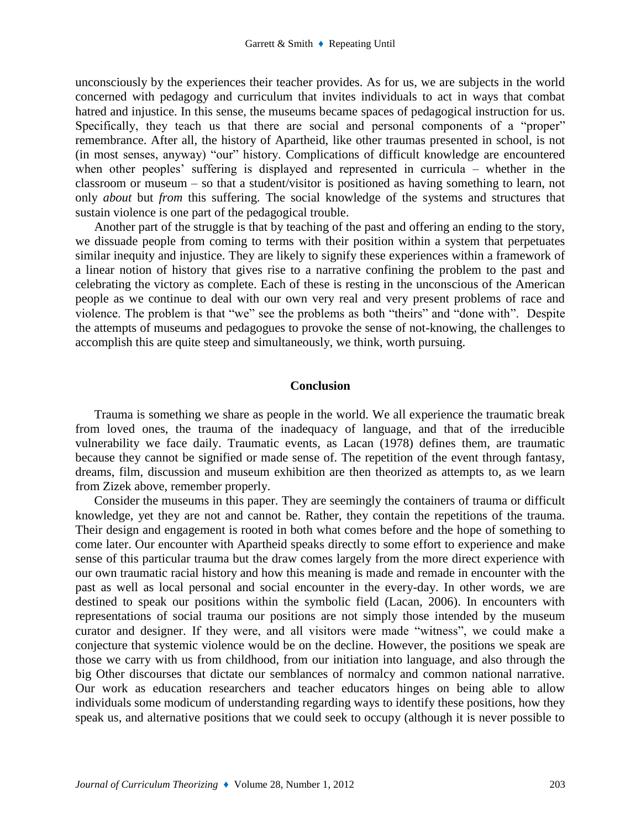unconsciously by the experiences their teacher provides. As for us, we are subjects in the world concerned with pedagogy and curriculum that invites individuals to act in ways that combat hatred and injustice. In this sense, the museums became spaces of pedagogical instruction for us. Specifically, they teach us that there are social and personal components of a "proper" remembrance. After all, the history of Apartheid, like other traumas presented in school, is not (in most senses, anyway) "our" history. Complications of difficult knowledge are encountered when other peoples' suffering is displayed and represented in curricula – whether in the classroom or museum – so that a student/visitor is positioned as having something to learn, not only *about* but *from* this suffering. The social knowledge of the systems and structures that sustain violence is one part of the pedagogical trouble.

Another part of the struggle is that by teaching of the past and offering an ending to the story, we dissuade people from coming to terms with their position within a system that perpetuates similar inequity and injustice. They are likely to signify these experiences within a framework of a linear notion of history that gives rise to a narrative confining the problem to the past and celebrating the victory as complete. Each of these is resting in the unconscious of the American people as we continue to deal with our own very real and very present problems of race and violence. The problem is that "we" see the problems as both "theirs" and "done with". Despite the attempts of museums and pedagogues to provoke the sense of not-knowing, the challenges to accomplish this are quite steep and simultaneously, we think, worth pursuing.

# **Conclusion**

Trauma is something we share as people in the world. We all experience the traumatic break from loved ones, the trauma of the inadequacy of language, and that of the irreducible vulnerability we face daily. Traumatic events, as Lacan (1978) defines them, are traumatic because they cannot be signified or made sense of. The repetition of the event through fantasy, dreams, film, discussion and museum exhibition are then theorized as attempts to, as we learn from Zizek above, remember properly.

Consider the museums in this paper. They are seemingly the containers of trauma or difficult knowledge, yet they are not and cannot be. Rather, they contain the repetitions of the trauma. Their design and engagement is rooted in both what comes before and the hope of something to come later. Our encounter with Apartheid speaks directly to some effort to experience and make sense of this particular trauma but the draw comes largely from the more direct experience with our own traumatic racial history and how this meaning is made and remade in encounter with the past as well as local personal and social encounter in the every-day. In other words, we are destined to speak our positions within the symbolic field (Lacan, 2006). In encounters with representations of social trauma our positions are not simply those intended by the museum curator and designer. If they were, and all visitors were made "witness", we could make a conjecture that systemic violence would be on the decline. However, the positions we speak are those we carry with us from childhood, from our initiation into language, and also through the big Other discourses that dictate our semblances of normalcy and common national narrative. Our work as education researchers and teacher educators hinges on being able to allow individuals some modicum of understanding regarding ways to identify these positions, how they speak us, and alternative positions that we could seek to occupy (although it is never possible to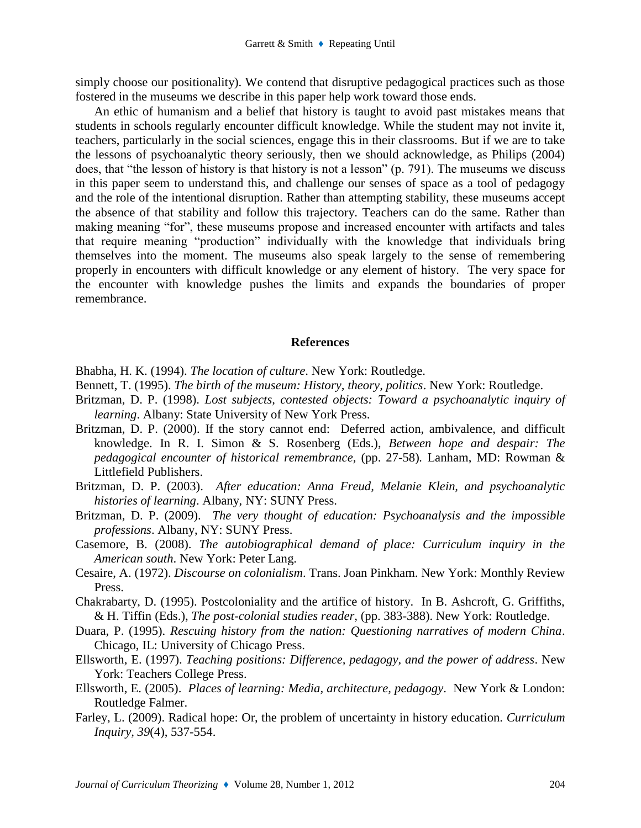simply choose our positionality). We contend that disruptive pedagogical practices such as those fostered in the museums we describe in this paper help work toward those ends.

An ethic of humanism and a belief that history is taught to avoid past mistakes means that students in schools regularly encounter difficult knowledge. While the student may not invite it, teachers, particularly in the social sciences, engage this in their classrooms. But if we are to take the lessons of psychoanalytic theory seriously, then we should acknowledge, as Philips (2004) does, that "the lesson of history is that history is not a lesson" (p. 791). The museums we discuss in this paper seem to understand this, and challenge our senses of space as a tool of pedagogy and the role of the intentional disruption. Rather than attempting stability, these museums accept the absence of that stability and follow this trajectory. Teachers can do the same. Rather than making meaning "for", these museums propose and increased encounter with artifacts and tales that require meaning "production" individually with the knowledge that individuals bring themselves into the moment. The museums also speak largely to the sense of remembering properly in encounters with difficult knowledge or any element of history. The very space for the encounter with knowledge pushes the limits and expands the boundaries of proper remembrance.

#### **References**

- Bhabha, H. K. (1994). *The location of culture*. New York: Routledge.
- Bennett, T. (1995). *The birth of the museum: History, theory, politics*. New York: Routledge.
- Britzman, D. P. (1998). *Lost subjects, contested objects: Toward a psychoanalytic inquiry of learning*. Albany: State University of New York Press.
- Britzman, D. P. (2000). If the story cannot end: Deferred action, ambivalence, and difficult knowledge. In R. I. Simon & S. Rosenberg (Eds.), *Between hope and despair: The pedagogical encounter of historical remembrance,* (pp. 27-58)*.* Lanham, MD: Rowman & Littlefield Publishers.
- Britzman, D. P. (2003). *After education: Anna Freud, Melanie Klein, and psychoanalytic histories of learning*. Albany, NY: SUNY Press.
- Britzman, D. P. (2009). *The very thought of education: Psychoanalysis and the impossible professions*. Albany, NY: SUNY Press.
- Casemore, B. (2008). *The autobiographical demand of place: Curriculum inquiry in the American south*. New York: Peter Lang.
- Cesaire, A. (1972). *Discourse on colonialism*. Trans. Joan Pinkham. New York: Monthly Review Press.
- Chakrabarty, D. (1995). Postcoloniality and the artifice of history. In B. Ashcroft, G. Griffiths, & H. Tiffin (Eds.), *The post-colonial studies reader,* (pp. 383-388). New York: Routledge.
- Duara, P. (1995). *Rescuing history from the nation: Questioning narratives of modern China*. Chicago, IL: University of Chicago Press.
- Ellsworth, E. (1997). *Teaching positions: Difference, pedagogy, and the power of address*. New York: Teachers College Press.
- Ellsworth, E. (2005). *Places of learning: Media, architecture, pedagogy*. New York & London: Routledge Falmer.
- Farley, L. (2009). Radical hope: Or, the problem of uncertainty in history education. *Curriculum Inquiry, 39*(4), 537-554.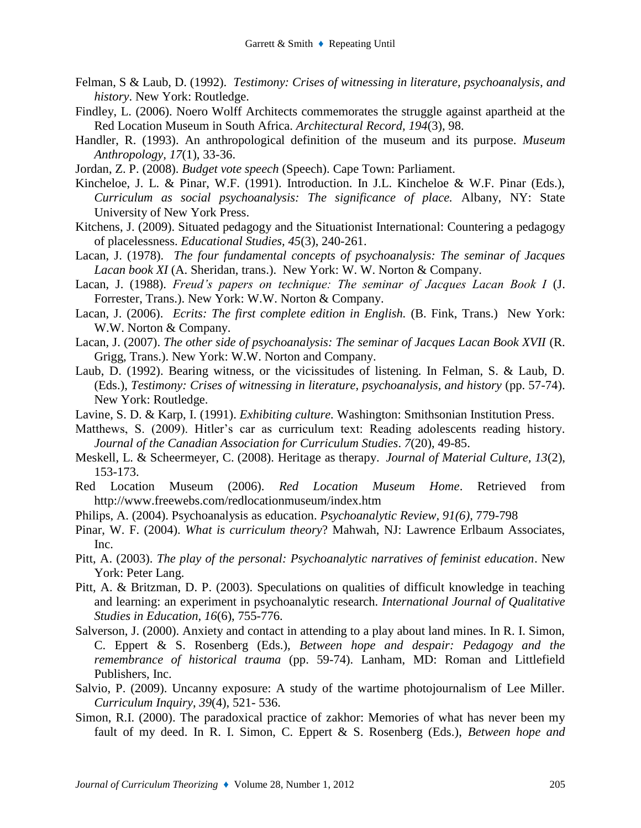- Felman, S & Laub, D. (1992). *Testimony: Crises of witnessing in literature, psychoanalysis, and history*. New York: Routledge.
- Findley, L. (2006). Noero Wolff Architects commemorates the struggle against apartheid at the Red Location Museum in South Africa. *Architectural Record, 194*(3), 98.
- Handler, R. (1993). An anthropological definition of the museum and its purpose. *Museum Anthropology, 17*(1), 33-36.
- Jordan, Z. P. (2008). *Budget vote speech* (Speech). Cape Town: Parliament.
- Kincheloe, J. L. & Pinar, W.F. (1991). Introduction. In J.L. Kincheloe & W.F. Pinar (Eds.), *Curriculum as social psychoanalysis: The significance of place.* Albany, NY: State University of New York Press.
- Kitchens, J. (2009). Situated pedagogy and the Situationist International: Countering a pedagogy of placelessness. *Educational Studies, 45*(3), 240-261.
- Lacan, J. (1978). *The four fundamental concepts of psychoanalysis: The seminar of Jacques Lacan book XI* (A. Sheridan, trans.). New York: W. W. Norton & Company.
- Lacan, J. (1988). *Freud's papers on technique: The seminar of Jacques Lacan Book I* (J. Forrester, Trans.). New York: W.W. Norton & Company.
- Lacan, J. (2006). *Ecrits: The first complete edition in English.* (B. Fink, Trans.) New York: W.W. Norton & Company.
- Lacan, J. (2007). *The other side of psychoanalysis: The seminar of Jacques Lacan Book XVII* (R. Grigg, Trans.). New York: W.W. Norton and Company.
- Laub, D. (1992). Bearing witness, or the vicissitudes of listening. In Felman, S. & Laub, D. (Eds.), *Testimony: Crises of witnessing in literature, psychoanalysis, and history* (pp. 57-74). New York: Routledge.
- Lavine, S. D. & Karp, I. (1991). *Exhibiting culture.* Washington: Smithsonian Institution Press.
- Matthews, S. (2009). Hitler's car as curriculum text: Reading adolescents reading history. *Journal of the Canadian Association for Curriculum Studies*. *7*(20), 49-85.
- Meskell, L. & Scheermeyer, C. (2008). Heritage as therapy. *Journal of Material Culture, 13*(2), 153-173.
- Red Location Museum (2006). *Red Location Museum Home*. Retrieved from http://www.freewebs.com/redlocationmuseum/index.htm
- Philips, A. (2004). Psychoanalysis as education. *Psychoanalytic Review, 91(6),* 779-798
- Pinar, W. F. (2004). *What is curriculum theory*? Mahwah, NJ: Lawrence Erlbaum Associates, Inc.
- Pitt, A. (2003). *The play of the personal: Psychoanalytic narratives of feminist education*. New York: Peter Lang.
- Pitt, A. & Britzman, D. P. (2003). Speculations on qualities of difficult knowledge in teaching and learning: an experiment in psychoanalytic research. *International Journal of Qualitative Studies in Education, 16*(6), 755-776.
- Salverson, J. (2000). Anxiety and contact in attending to a play about land mines. In R. I. Simon, C. Eppert & S. Rosenberg (Eds.), *Between hope and despair: Pedagogy and the remembrance of historical trauma* (pp. 59-74). Lanham, MD: Roman and Littlefield Publishers, Inc.
- Salvio, P. (2009). Uncanny exposure: A study of the wartime photojournalism of Lee Miller. *Curriculum Inquiry*, *39*(4), 521- 536.
- Simon, R.I. (2000). The paradoxical practice of zakhor: Memories of what has never been my fault of my deed. In R. I. Simon, C. Eppert & S. Rosenberg (Eds.), *Between hope and*